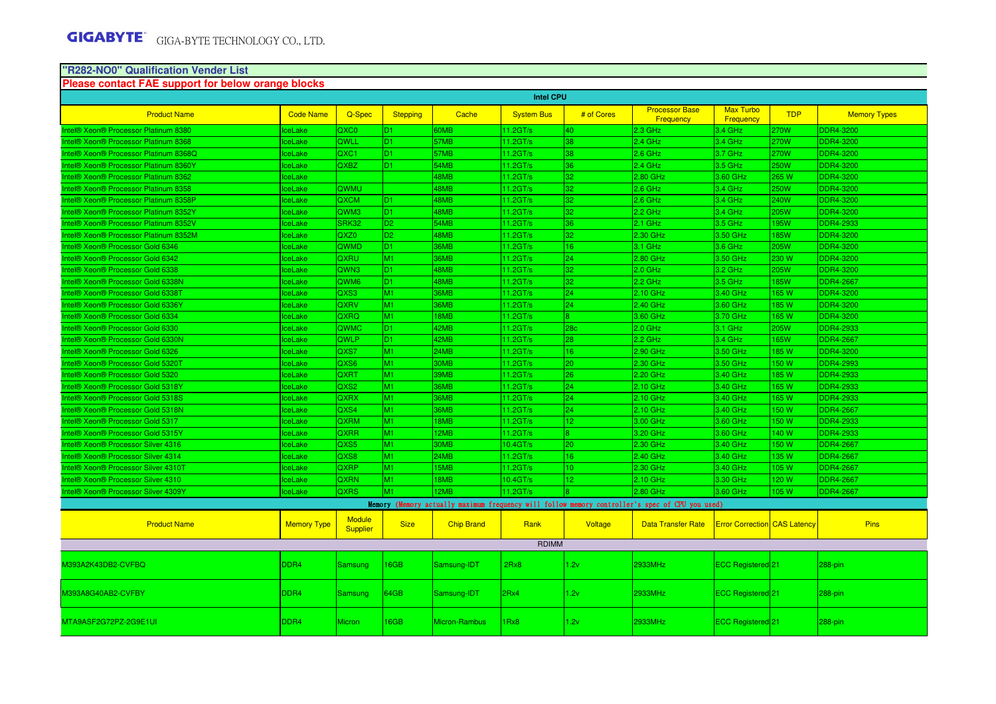# **"R282-NO0" Qualification Vender List**

| Please contact FAE support for below orange blocks |                    |                           |                 |                   |                   |                 |                                                                                                 |                                      |             |                     |
|----------------------------------------------------|--------------------|---------------------------|-----------------|-------------------|-------------------|-----------------|-------------------------------------------------------------------------------------------------|--------------------------------------|-------------|---------------------|
|                                                    |                    |                           |                 |                   | <b>Intel CPU</b>  |                 |                                                                                                 |                                      |             |                     |
| <b>Product Name</b>                                | <b>Code Name</b>   | Q-Spec                    | <b>Stepping</b> | Cache             | <b>System Bus</b> | # of Cores      | <b>Processor Base</b><br><b>Frequency</b>                                                       | <b>Max Turbo</b><br><b>Frequency</b> | <b>TDP</b>  | <b>Memory Types</b> |
| Intel® Xeon® Processor Platinum 8380               | ceLake             | QXC <sub>0</sub>          | D <sub>1</sub>  | 60MB              | 11.2GT/s          | 40              | $2.3$ GHz                                                                                       | 3.4 GHz                              | 270W        | <b>DDR4-3200</b>    |
| Intel® Xeon® Processor Platinum 8368               | ceLake             | QWLL                      | D <sub>1</sub>  | 57MB              | 11.2GT/s          | 38              | $2.4$ GHz                                                                                       | $3.4$ GHz                            | <b>270W</b> | <b>DDR4-3200</b>    |
| Intel® Xeon® Processor Platinum 8368Q              | ceLake             | QXC <sub>1</sub>          | ID1.            | 57MB              | $11.2$ GT/s       | 38              | $2.6$ GHz                                                                                       | 3.7 GHz                              | 270W        | <b>DDR4-3200</b>    |
| Intel® Xeon® Processor Platinum 8360Y              | <b>IceLake</b>     | <b>QXBZ</b>               | ID1.            | 54MB              | $11.2$ GT/s       | 36              | $2.4$ GHz                                                                                       | 3.5 GHz                              | <b>250W</b> | <b>DDR4-3200</b>    |
| Intel® Xeon® Processor Platinum 8362               | ceLake             |                           |                 | 48MB              | $11.2$ GT/s       | 32              | 2.80 GHz                                                                                        | 3.60 GHz                             | 265 W       | <b>DDR4-3200</b>    |
| Intel® Xeon® Processor Platinum 8358               | ceLake             | QWMU                      |                 | 48MB              | 11.2GT/s          | 32              | $2.6$ GHz                                                                                       | 3.4 GHz                              | 250W        | <b>DDR4-3200</b>    |
| Intel® Xeon® Processor Platinum 8358P              | ceLake             | <b>QXCM</b>               | D <sub>1</sub>  | 48MB              | 11.2GT/s          | 32              | $2.6$ GHz                                                                                       | $3.4$ GHz                            | 240W        | DDR4-3200           |
| Intel® Xeon® Processor Platinum 8352Y              | ceLake             | QWM3                      | D <sub>1</sub>  | 48MB              | 11.2GT/s          | 32              | $2.2$ GHz                                                                                       | 3.4 GHz                              | 205W        | DDR4-3200           |
| Intel® Xeon® Processor Platinum 8352V              | ceLake             | SRK32                     | D <sub>2</sub>  | 54MB              | 11.2GT/s          | 36              | 2.1 GHz                                                                                         | 3.5 GHz                              | 195W        | <b>DDR4-2933</b>    |
| Intel® Xeon® Processor Platinum 8352M              | ceLake             | QXZ0                      | D <sub>2</sub>  | 48MB              | 11.2GT/s          | 32              | 2.30 GHz                                                                                        | 3.50 GHz                             | <b>185W</b> | <b>DDR4-3200</b>    |
| Intel® Xeon® Processor Gold 6346                   | ceLake             | <b>QWMD</b>               | ID1.            | 36MB              | 11.2GT/s          | 16 <sup>°</sup> | 3.1 GHz                                                                                         | 3.6 GHz                              | 205W        | <b>DDR4-3200</b>    |
| Intel® Xeon® Processor Gold 6342                   | ceLake             | <b>QXRU</b>               | M <sub>1</sub>  | 36MB              | 11.2GT/s          | 24              | 2.80 GHz                                                                                        | 3.50 GHz                             | 230 W       | <b>DDR4-3200</b>    |
| Intel® Xeon® Processor Gold 6338                   | ceLake             | QWN3                      | D <sub>1</sub>  | 48MB              | 11.2GT/s          | 32              | 2.0 GHz                                                                                         | 3.2 GHz                              | 205W        | <b>DDR4-3200</b>    |
| Intel® Xeon® Processor Gold 6338N                  | ceLake             | QWM <sub>6</sub>          | D <sub>1</sub>  | 48MB              | 11.2GT/s          | 32              | 2.2 GHz                                                                                         | $3.5$ GHz                            | <b>85W</b>  | <b>DDR4-2667</b>    |
| Intel® Xeon® Processor Gold 6338T                  | ceLake             | QXS3                      | M <sub>1</sub>  | 36MB              | 11.2GT/s          | 24              | 2.10 GHz                                                                                        | 3.40 GHz                             | 165 W       | <b>DDR4-3200</b>    |
| Intel® Xeon® Processor Gold 6336Y                  | ceLake             | <b>QXRV</b>               | M1              | 36MB              | 11.2GT/s          | 24              | 2.40 GHz                                                                                        | 3.60 GHz                             | 185 W       | <b>DDR4-3200</b>    |
| Intel® Xeon® Processor Gold 6334                   | ceLake             | QXRQ                      | M <sub>1</sub>  | 18MB              | 11.2GT/s          |                 | 3.60 GHz                                                                                        | 3.70 GHz                             | 165 W       | <b>DDR4-3200</b>    |
| Intel® Xeon® Processor Gold 6330                   | ceLake             | <b>QWMC</b>               | D <sub>1</sub>  | 42MB              | 11.2GT/s          | 28 <sub>c</sub> | 2.0 GHz                                                                                         | 3.1 GHz                              | 205W        | <b>DDR4-2933</b>    |
| Intel® Xeon® Processor Gold 6330N                  | ceLake             | QWLP                      | D <sub>1</sub>  | 42MB              | $11.2$ GT/s       | 28              | $2.2$ GHz                                                                                       | 3.4 GHz                              | <b>165W</b> | <b>DDR4-2667</b>    |
| Intel® Xeon® Processor Gold 6326                   | <b>IceLake</b>     | QXS7                      | M <sub>1</sub>  | 24MB              | 11.2GT/s          | 16 <sup>°</sup> | 2.90 GHz                                                                                        | 3.50 GHz                             | 185 W       | <b>DDR4-3200</b>    |
| Intel® Xeon® Processor Gold 5320T                  | ceLake             | QXS6                      | M <sub>1</sub>  | 30MB              | 11.2GT/s          | 20              | 2.30 GHz                                                                                        | 3.50 GHz                             | 150 W       | <b>DDR4-2993</b>    |
| Intel® Xeon® Processor Gold 5320                   | ceLake             | <b>QXRT</b>               | M <sub>1</sub>  | 39MB              | 11.2GT/s          | 26              | 2.20 GHz                                                                                        | 3.40 GHz                             | 185W        | <b>DDR4-2933</b>    |
| Intel® Xeon® Processor Gold 5318Y                  | ceLake             | QXS <sub>2</sub>          | M <sub>1</sub>  | 36MB              | 11.2GT/s          | 24              | 2.10 GHz                                                                                        | 3.40 GHz                             | 165W        | <b>DDR4-2933</b>    |
| Intel® Xeon® Processor Gold 5318S                  | ceLake             | QXRX                      | M <sub>1</sub>  | 36MB              | 11.2GT/s          | 24              | 2.10 GHz                                                                                        | 3.40 GHz                             | 165 W       | <b>DDR4-2933</b>    |
| Intel® Xeon® Processor Gold 5318N                  | ceLake             | QXS4                      | M <sub>1</sub>  | 36MB              | 11.2GT/s          | 24              | 2.10 GHz                                                                                        | 3.40 GHz                             | 150 W       | <b>DDR4-2667</b>    |
| Intel® Xeon® Processor Gold 5317                   | ceLake             | <b>QXRM</b>               | M <sub>1</sub>  | 18MB              | 11.2GT/s          | 12 <sub>1</sub> | 3.00 GHz                                                                                        | 3.60 GHz                             | 150 W       | <b>DDR4-2933</b>    |
| Intel® Xeon® Processor Gold 5315Y                  | ceLake             | <b>QXRR</b>               | M <sub>1</sub>  | 12MB              | 11.2GT/s          | l8.             | 3.20 GHz                                                                                        | 3.60 GHz                             | 140 W       | <b>DDR4-2933</b>    |
| Intel® Xeon® Processor Silver 4316                 | lceLake            | QXS5                      | M <sub>1</sub>  | 30MB              | 10.4GT/s          | 20              | 2.30 GHz                                                                                        | 3.40 GHz                             | 150 W       | <b>DDR4-2667</b>    |
| Intel® Xeon® Processor Silver 4314                 | ceLake             | QXS8                      | M <sub>1</sub>  | 24MB              | 11.2GT/s          | 16              | 2.40 GHz                                                                                        | 3.40 GHz                             | 135 W       | <b>DDR4-2667</b>    |
| Intel® Xeon® Processor Silver 4310T                | ceLake             | QXRP                      | M <sub>1</sub>  | 15MB              | 11.2GT/s          | 10              | 2.30 GHz                                                                                        | 3.40 GHz                             | 105W        | <b>DDR4-2667</b>    |
| Intel® Xeon® Processor Silver 4310                 | ceLake             | <b>QXRN</b>               | M <sub>1</sub>  | 18MB              | 10.4GT/s          | 12 <sup>2</sup> | 2.10 GHz                                                                                        | 3.30 GHz                             | 120W        | <b>DDR4-2667</b>    |
| Intel® Xeon® Processor Silver 4309Y                | ceLake             | <b>QXRS</b>               | M <sub>1</sub>  | 12MB              | 11.2GT/s          |                 | 2.80 GHz                                                                                        | 3.60 GHz                             | 105 W       | <b>DDR4-2667</b>    |
|                                                    |                    |                           |                 |                   |                   |                 | Memory (Memory actually maximum frequency will follow memory controller's spec of CPU you used) |                                      |             |                     |
| <b>Product Name</b>                                | <b>Memory Type</b> | <b>Module</b><br>Supplier | <b>Size</b>     | <b>Chip Brand</b> | Rank              | Voltage         | <b>Data Transfer Rate</b>                                                                       | <b>Error Correction</b> CAS Latency  |             | Pins                |
|                                                    |                    |                           |                 |                   | <b>RDIMM</b>      |                 |                                                                                                 |                                      |             |                     |
| M393A2K43DB2-CVFBQ                                 | DDR4               | <b>Samsung</b>            | 16GB            | Samsung-IDT       | 2Rx8              | 1.2v            | 2933MHz                                                                                         | ECC Registered 21                    |             | 288-pin             |
| M393A8G40AB2-CVFBY                                 | DDR <sub>4</sub>   | Samsung                   | 64GB            | Samsung-IDT       | l2Rx4             | 1.2v            | 2933MHz                                                                                         | <b>ECC Registered</b> 21             |             | $288-pin$           |
| MTA9ASF2G72PZ-2G9E1UI                              | DDR <sub>4</sub>   | <b>Micron</b>             | 16GB            | Micron-Rambus     | 1Rx8              | 1.2v            | 2933MHz                                                                                         | <b>ECC Registered</b> 21             |             | 288-pin             |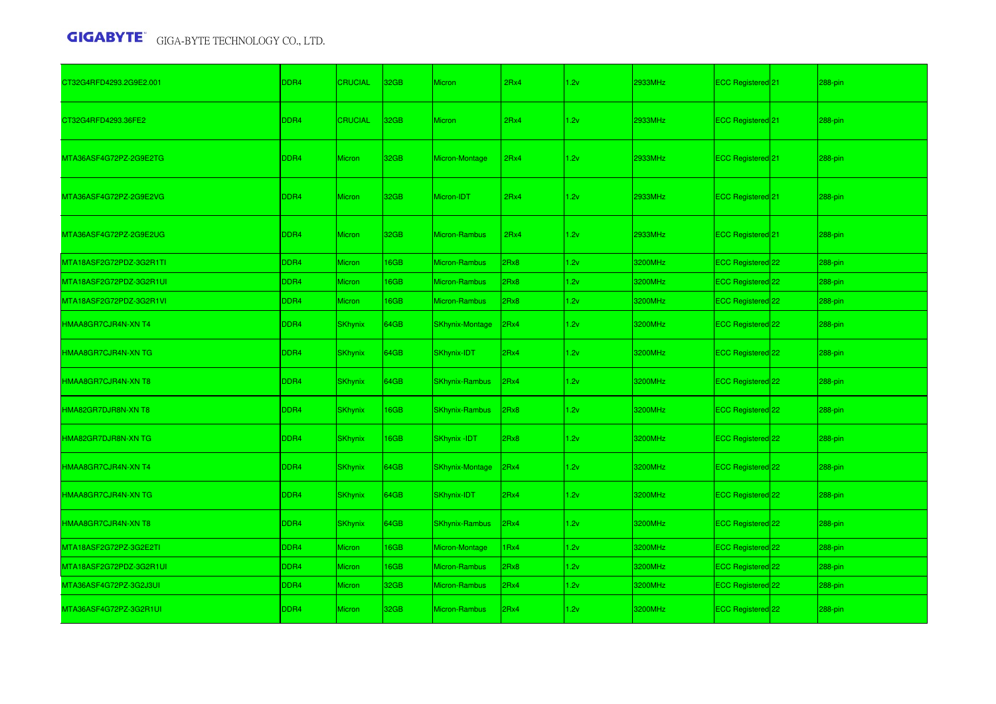| CT32G4RFD4293.2G9E2.001 | DDR4             | <b>CRUCIAL</b> | 32GB             | Micron                 | 2Rx4 | 1.2v | 2933MHz | ECC Registered 21            | 288-pin |
|-------------------------|------------------|----------------|------------------|------------------------|------|------|---------|------------------------------|---------|
| CT32G4RFD4293.36FE2     | DDR4             | <b>CRUCIAL</b> | 32 <sub>GB</sub> | <b>Micron</b>          | 2Rx4 | 1.2v | 2933MHz | <b>ECC Registered</b> 21     | 288-pin |
| MTA36ASF4G72PZ-2G9E2TG  | DDR4             | <b>Micron</b>  | 32GB             | Micron-Montage         | 2Rx4 | 1.2v | 2933MHz | ECC Registered <sup>21</sup> | 288-pin |
| MTA36ASF4G72PZ-2G9E2VG  | DDR4             | <b>Micron</b>  | 32GB             | Micron-IDT             | 2Rx4 | 1.2v | 2933MHz | ECC Registered 21            | 288-pin |
| MTA36ASF4G72PZ-2G9E2UG  | DDR <sub>4</sub> | <b>Micron</b>  | 32 <sub>GB</sub> | Micron-Rambus          | 2Rx4 | 1.2v | 2933MHz | <b>ECC Registered</b> 21     | 288-pin |
| MTA18ASF2G72PDZ-3G2R1TI | DDR4             | Micron         | 16GB             | Micron-Rambus          | 2Rx8 | 1.2v | 3200MHz | ECC Registered 22            | 288-pin |
| MTA18ASF2G72PDZ-3G2R1UI | DDR4             | Micron         | 16GB             | Micron-Rambus          | 2Rx8 | 1.2v | 3200MHz | ECC Registered 22            | 288-pin |
| MTA18ASF2G72PDZ-3G2R1VI | DDR4             | Micron         | 16GB             | Micron-Rambus          | 2Rx8 | 1.2v | 3200MHz | ECC Registered 22            | 288-pin |
| HMAA8GR7CJR4N-XN T4     | DDR <sub>4</sub> | <b>SKhynix</b> | 64GB             | <b>SKhynix-Montage</b> | 2Rx4 | 1.2v | 3200MHz | ECC Registered 22            | 288-pin |
| HMAA8GR7CJR4N-XN TG     | DDR4             | <b>SKhynix</b> | 64GB             | SKhynix-IDT            | 2Rx4 | 1.2v | 3200MHz | ECC Registered 22            | 288-pin |
| HMAA8GR7CJR4N-XN T8     | DDR <sub>4</sub> | <b>SKhynix</b> | 64GB             | <b>SKhynix-Rambus</b>  | 2Rx4 | 1.2v | 3200MHz | ECC Registered 22            | 288-pin |
| HMA82GR7DJR8N-XN T8     | DDR <sub>4</sub> | <b>SKhynix</b> | <b>16GB</b>      | <b>SKhynix-Rambus</b>  | 2Rx8 | 1.2v | 3200MHz | <b>ECC Registered</b> 22     | 288-pin |
| HMA82GR7DJR8N-XN TG     | DDR <sub>4</sub> | <b>SKhynix</b> | 16GB             | <b>SKhynix-IDT</b>     | 2Rx8 | 1.2v | 3200MHz | ECC Registered 22            | 288-pin |
| HMAA8GR7CJR4N-XN T4     | DDR <sub>4</sub> | <b>SKhynix</b> | 64GB             | <b>SKhynix-Montage</b> | 2Rx4 | 1.2v | 3200MHz | ECC Registered 22            | 288-pin |
| HMAA8GR7CJR4N-XN TG     | DDR <sub>4</sub> | <b>SKhynix</b> | 64GB             | SKhynix-IDT            | 2Rx4 | 1.2v | 3200MHz | ECC Registered 22            | 288-pin |
| HMAA8GR7CJR4N-XN T8     | DDR4             | <b>SKhynix</b> | 64GB             | <b>SKhynix-Rambus</b>  | 2Rx4 | 1.2v | 3200MHz | <b>ECC Registered</b> 22     | 288-pin |
| MTA18ASF2G72PZ-3G2E2TI  | DDR4             | Micron         | 16GB             | Micron-Montage         | 1Rx4 | 1.2v | 3200MHz | ECC Registered 22            | 288-pin |
| MTA18ASF2G72PDZ-3G2R1UI | DDR4             | Micron         | 16GB             | Micron-Rambus          | 2Rx8 | 1.2v | 3200MHz | ECC Registered 22            | 288-pin |
| MTA36ASF4G72PZ-3G2J3UI  | DDR4             | Micron         | 32GB             | <b>Micron-Rambus</b>   | 2Rx4 | 1.2v | 3200MHz | ECC Registered 22            | 288-pin |
| MTA36ASF4G72PZ-3G2R1UI  | DDR <sub>4</sub> | <b>Micron</b>  | 32GB             | Micron-Rambus          | 2Rx4 | 1.2v | 3200MHz | ECC Registered 22            | 288-pin |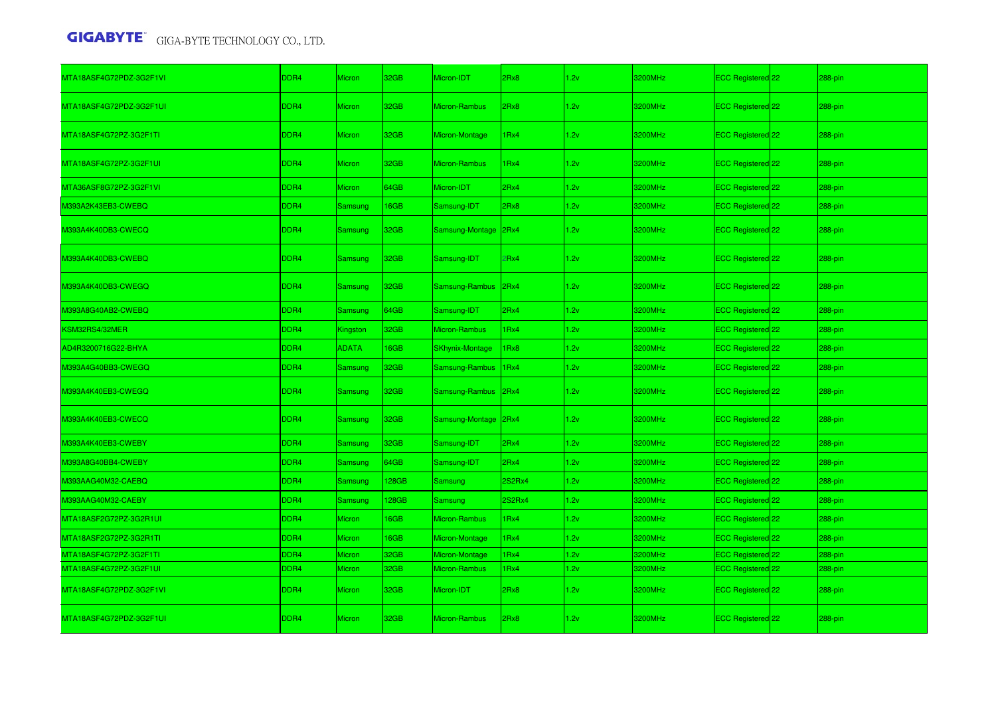| MTA18ASF4G72PDZ-3G2F1VI | DDR <sub>4</sub> | <b>Micron</b>  | 32GB        | Micron-IDT             | 2Rx8   | 1.2v | 3200MHz | ECC Registered 22        | 288-pin   |
|-------------------------|------------------|----------------|-------------|------------------------|--------|------|---------|--------------------------|-----------|
| MTA18ASF4G72PDZ-3G2F1UI | DDR4             | <b>Micron</b>  | 32GB        | Micron-Rambus          | Rx8    | 1.2v | 3200MHz | ECC Registered 22        | 288-pin   |
| MTA18ASF4G72PZ-3G2F1TI  | DDR4             | <b>Micron</b>  | 32GB        | Micron-Montage         | IRx4   | 1.2v | 3200MHz | ECC Registered 22        | 288-pin   |
| MTA18ASF4G72PZ-3G2F1UI  | DDR <sub>4</sub> | <b>Micron</b>  | 32GB        | Micron-Rambus          | IRx4   | 1.2v | 3200MHz | ECC Registered 22        | 288-pin   |
| MTA36ASF8G72PZ-3G2F1VI  | DDR4             | Micron         | 64GB        | Micron-IDT             | 2Rx4   | 1.2v | 3200MHz | ECC Registered 22        | 288-pin   |
| M393A2K43EB3-CWEBQ      | DDR4             | <b>Samsung</b> | <b>I6GB</b> | Samsung-IDT            | 2Rx8   | 1.2v | 3200MHz | ECC Registered 22        | 288-pin   |
| M393A4K40DB3-CWECQ      | DDR4             | Samsung        | 32GB        | Samsung-Montage        | 2Rx4   | 1.2v | 3200MHz | ECC Registered 22        | 288-pin   |
| M393A4K40DB3-CWEBQ      | DDR4             | Samsung        | 32GB        | Samsung-IDT            | Rx4    | 1.2v | 3200MHz | ECC Registered 22        | 288-pin   |
| M393A4K40DB3-CWEGQ      | DDR4             | Samsung        | 32GB        | Samsung-Rambus         | 2Rx4   | 1.2v | 3200MHz | ECC Registered 22        | 288-pin   |
| M393A8G40AB2-CWEBQ      | DDR4             | Samsung        | 64GB        | Samsung-IDT            | 2Rx4   | 1.2v | 3200MHz | ECC Registered 22        | $288-pin$ |
| KSM32RS4/32MER          | DDR4             | Kingston       | 32GB        | Micron-Rambus          | Rx4    | 1.2v | 3200MHz | ECC Registered 22        | 288-pin   |
| AD4R3200716G22-BHYA     | DDR4             | <b>ADATA</b>   | <b>I6GB</b> | <b>SKhynix-Montage</b> | IRx8   | 1.2v | 3200MHz | ECC Registered 22        | 288-pin   |
| M393A4G40BB3-CWEGQ      | DDR4             | Samsung        | 32GB        | Samsung-Rambus         | IRx4   | 1.2v | 3200MHz | ECC Registered 22        | 288-pin   |
| M393A4K40EB3-CWEGQ      | DDR4             | Samsung        | 32GB        | Samsung-Rambus         | 2Rx4   | 1.2v | 3200MHz | ECC Registered 22        | 288-pin   |
| M393A4K40EB3-CWECQ      | DDR4             | Samsung        | 32GB        | Samsung-Montage        | 2Rx4   | 1.2v | 3200MHz | <b>ECC Registered</b> 22 | 288-pin   |
| M393A4K40EB3-CWEBY      | DDR4             | <b>Samsung</b> | 32GB        | Samsung-IDT            | 2Rx4   | 1.2v | 3200MHz | ECC Registered 22        | 288-pin   |
| M393A8G40BB4-CWEBY      | DDR4             | <b>Samsung</b> | 64GB        | Samsung-IDT            | 2Rx4   | 1.2v | 3200MHz | ECC Registered 22        | 288-pin   |
| M393AAG40M32-CAEBQ      | DDR4             | Samsung        | <b>28GB</b> | Samsung                | 2S2Rx4 | 1.2v | 3200MHz | ECC Registered 22        | 288-pin   |
| M393AAG40M32-CAEBY      | DDR4             | Samsung        | <b>28GB</b> | <b>Samsung</b>         | 2S2Rx4 | 1.2v | 3200MHz | ECC Registered 22        | 288-pin   |
| MTA18ASF2G72PZ-3G2R1UI  | DDR4             | <b>Micron</b>  | <b>I6GB</b> | Micron-Rambus          | Rx4    | 1.2v | 3200MHz | ECC Registered 22        | 288-pin   |
| MTA18ASF2G72PZ-3G2R1TI  | DDR4             | Micron         | 16GB        | Micron-Montage         | Rx4    | 1.2v | 3200MHz | ECC Registered 22        | 288-pin   |
| MTA18ASF4G72PZ-3G2F1TI  | DDR4             | Micron         | 32GB        | Micron-Montage         | Rx4    | 1.2v | 3200MHz | ECC Registered 22        | 288-pin   |
| MTA18ASF4G72PZ-3G2F1UI  | DDR4             | <b>Micron</b>  | 32GB        | Micron-Rambus          | Rx4    | 1.2v | 3200MHz | ECC Registered 22        | 288-pin   |
| MTA18ASF4G72PDZ-3G2F1VI | DDR4             | <b>Micron</b>  | 32GB        | Micron-IDT             | 2Rx8   | 1.2v | 3200MHz | ECC Registered 22        | 288-pin   |
| MTA18ASF4G72PDZ-3G2F1UI | DDR4             | <b>Micron</b>  | 32GB        | Micron-Rambus          | Rx8    | 1.2v | 3200MHz | <b>ECC Registered</b> 22 | 288-pin   |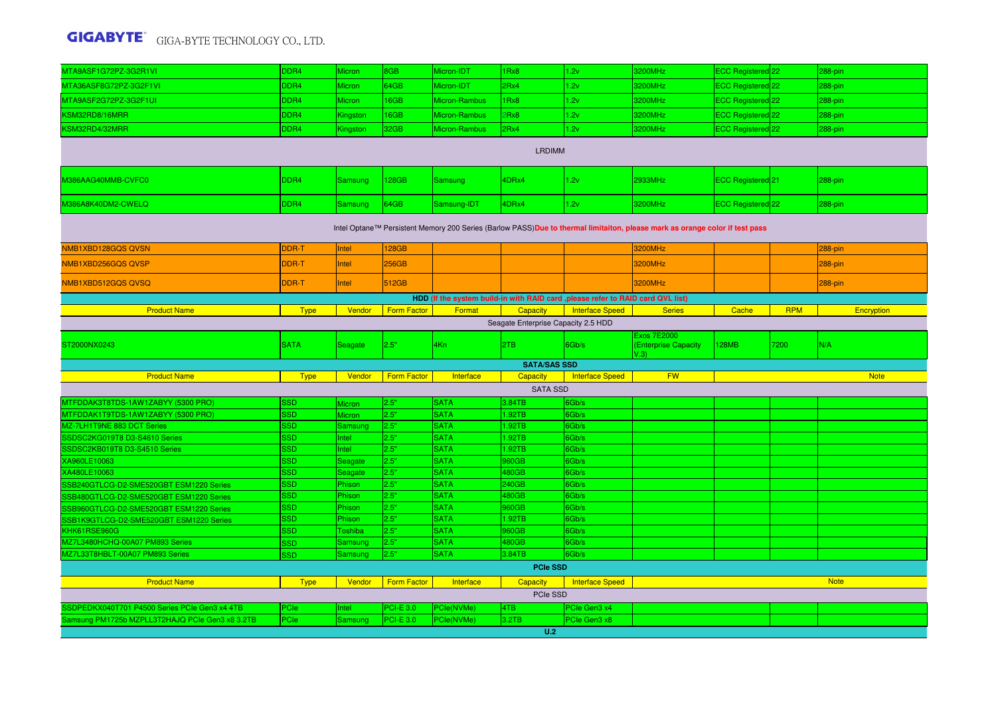| MTA9ASF1G72PZ-3G2R1VI                           | DDR4                                                                                                                        | Micron         | 8GB                | Micron-IDT                 | 1Rx8                | 1.2v                                                                             | 3200MHz                                           | ECC Registered 22 |            | 288-pin     |  |  |  |
|-------------------------------------------------|-----------------------------------------------------------------------------------------------------------------------------|----------------|--------------------|----------------------------|---------------------|----------------------------------------------------------------------------------|---------------------------------------------------|-------------------|------------|-------------|--|--|--|
| MTA36ASF8G72PZ-3G2F1VI                          | DDR4                                                                                                                        | Micron         | 64GB               | Micron-IDT                 | 2Rx4                | 1.2v                                                                             | 3200MHz                                           | ECC Registered 22 |            | 288-pin     |  |  |  |
| MTA9ASF2G72PZ-3G2F1UI                           | DDR4                                                                                                                        | Micron         | 16GB               | Micron-Rambus              | 1Rx8                | 1.2v                                                                             | 3200MHz                                           | ECC Registered 22 |            | 288-pin     |  |  |  |
| KSM32RD8/16MRR                                  | DDR4                                                                                                                        | Kingston       | 16GB               | Micron-Rambus              | 2Rx8                | 1.2v                                                                             | 3200MHz                                           | ECC Registered 22 |            | 288-pin     |  |  |  |
| KSM32RD4/32MRR                                  | DDR4                                                                                                                        | Kingston       | 32GB               | Micron-Rambus              | 2Rx4                | 1.2v                                                                             | 3200MHz                                           | ECC Registered 22 |            | 288-pin     |  |  |  |
|                                                 |                                                                                                                             |                |                    |                            | <b>LRDIMM</b>       |                                                                                  |                                                   |                   |            |             |  |  |  |
| M386AAG40MMB-CVFC0                              | DDR4                                                                                                                        | <b>Samsung</b> | 128GB              | <b>Samsung</b>             | 4DRx4               | 1.2v                                                                             | 2933MHz                                           | ECC Registered 21 |            | 288-pin     |  |  |  |
| M386A8K40DM2-CWELQ                              | DDR4                                                                                                                        | <b>Samsung</b> | 64GB               | Samsung-IDT                | 4DRx4               | 1.2v                                                                             | 3200MHz                                           | ECC Registered 22 |            | 288-pin     |  |  |  |
|                                                 | Intel Optane™ Persistent Memory 200 Series (Barlow PASS)Due to thermal limitaiton, please mark as orange color if test pass |                |                    |                            |                     |                                                                                  |                                                   |                   |            |             |  |  |  |
| NMB1XBD128GQS QVSN                              | DDR-T                                                                                                                       | Intel          | <b>128GB</b>       |                            |                     |                                                                                  | 3200MHz                                           |                   |            | 288-pin     |  |  |  |
| NMB1XBD256GQS QVSP                              | DDR-T                                                                                                                       | Intel          | 256GB              |                            |                     |                                                                                  | 3200MHz                                           |                   |            | 288-pin     |  |  |  |
| NMB1XBD512GQS QVSQ                              | DDR-T                                                                                                                       | Intel          | 512GB              |                            |                     |                                                                                  | 3200MHz                                           |                   |            | 288-pin     |  |  |  |
|                                                 |                                                                                                                             |                |                    |                            |                     | HDD (If the system build-in with RAID card , please refer to RAID card QVL list) |                                                   |                   |            |             |  |  |  |
| <b>Product Name</b>                             | <b>Type</b>                                                                                                                 | Vendor         | <b>Form Factor</b> | Format                     | Capacity            | <b>Interface Speed</b>                                                           | <b>Series</b>                                     | Cache             | <b>RPM</b> | Encryption  |  |  |  |
| Seagate Enterprise Capacity 2.5 HDD             |                                                                                                                             |                |                    |                            |                     |                                                                                  |                                                   |                   |            |             |  |  |  |
| ST2000NX0243                                    | <b>SATA</b>                                                                                                                 | Seagate        | 2.5"               | 4Kn                        | 2TB                 | 6Gb/s                                                                            | Exos 7E2000<br><b>(Enterprise Capacity</b><br>(3) | 128MB             | 7200       | N/A         |  |  |  |
|                                                 |                                                                                                                             |                |                    |                            |                     |                                                                                  |                                                   |                   |            |             |  |  |  |
|                                                 |                                                                                                                             |                |                    |                            | <b>SATA/SAS SSD</b> |                                                                                  |                                                   |                   |            |             |  |  |  |
| <b>Product Name</b>                             | <b>Type</b>                                                                                                                 | Vendor         | <b>Form Factor</b> | Interface                  | Capacity            | <b>Interface Speed</b>                                                           | <b>FW</b>                                         |                   |            | <b>Note</b> |  |  |  |
|                                                 |                                                                                                                             |                |                    |                            | <b>SATA SSD</b>     |                                                                                  |                                                   |                   |            |             |  |  |  |
| MTFDDAK3T8TDS-1AW1ZABYY (5300 PRO)              | <b>SSD</b>                                                                                                                  | Micron         | 2.5"               | <b>SATA</b>                | 3.84TB              | 6Gb/s                                                                            |                                                   |                   |            |             |  |  |  |
| MTFDDAK1T9TDS-1AW1ZABYY (5300 PRO)              | <b>SSD</b>                                                                                                                  | Micron         | 2.5"               | <b>SATA</b>                | .92TB               | 6Gb/s                                                                            |                                                   |                   |            |             |  |  |  |
| MZ-7LH1T9NE 883 DCT Series                      | <b>SSD</b>                                                                                                                  | Samsunc        | 2.5"               | <b>SATA</b>                | 1.92TB              | 6Gb/s                                                                            |                                                   |                   |            |             |  |  |  |
| SSDSC2KG019T8 D3-S4610 Series                   | <b>SSD</b><br><b>SSD</b>                                                                                                    | Intel<br>Intel | 2.5"<br>2.5"       | <b>SATA</b><br><b>SATA</b> | .92TB               | 6Gb/s                                                                            |                                                   |                   |            |             |  |  |  |
| SSDSC2KB019T8 D3-S4510 Series<br>XA960LE10063   | <b>SSD</b>                                                                                                                  | Seagate        | 2.5"               | <b>SATA</b>                | 1.92TB<br>960GB     | 6Gb/s<br>6Gb/s                                                                   |                                                   |                   |            |             |  |  |  |
| XA480LE10063                                    | <b>SSD</b>                                                                                                                  | Seagate        | 2.5"               | <b>SATA</b>                | 480GB               | 6Gb/s                                                                            |                                                   |                   |            |             |  |  |  |
| SSB240GTLCG-D2-SME520GBT ESM1220 Series         | <b>SSD</b>                                                                                                                  | Phison         | 2.5"               | <b>SATA</b>                | 240GB               | 6Gb/s                                                                            |                                                   |                   |            |             |  |  |  |
| SSB480GTLCG-D2-SME520GBT ESM1220 Series         | <b>SSD</b>                                                                                                                  | Phison         | 2.5"               | <b>SATA</b>                | 480GB               | 6Gb/s                                                                            |                                                   |                   |            |             |  |  |  |
| SSB960GTLCG-D2-SME520GBT ESM1220 Series         | <b>SSD</b>                                                                                                                  | Phison         | 2.5"               | <b>SATA</b>                | 960GB               | 6Gb/s                                                                            |                                                   |                   |            |             |  |  |  |
| SSB1K9GTLCG-D2-SME520GBT ESM1220 Series         | <b>SSD</b>                                                                                                                  | Phison         | 2.5"               | <b>SATA</b>                | 1.92TB              | 6Gb/s                                                                            |                                                   |                   |            |             |  |  |  |
| KHK61RSE960G                                    | <b>SSD</b>                                                                                                                  | Toshiba        | 2.5"               | <b>SATA</b>                | 960GB               | 6Gb/s                                                                            |                                                   |                   |            |             |  |  |  |
| MZ7L3480HCHQ-00A07 PM893 Series                 | <b>SSD</b>                                                                                                                  | Samsung        | 2.5"               | <b>SATA</b>                | 480GB               | 6Gb/s                                                                            |                                                   |                   |            |             |  |  |  |
| MZ7L33T8HBLT-00A07 PM893 Series                 | <b>SSD</b>                                                                                                                  | Samsung        | 2.5"               | <b>SATA</b>                | 3.84TB              | 6Gb/s                                                                            |                                                   |                   |            |             |  |  |  |
|                                                 |                                                                                                                             |                |                    |                            | <b>PCIe SSD</b>     |                                                                                  |                                                   |                   |            |             |  |  |  |
| <b>Product Name</b>                             | <b>Type</b>                                                                                                                 | Vendor         | <b>Form Factor</b> | Interface                  | Capacity            | <b>Interface Speed</b>                                                           |                                                   |                   |            | <b>Note</b> |  |  |  |
|                                                 |                                                                                                                             |                |                    |                            | PCIe SSD            |                                                                                  |                                                   |                   |            |             |  |  |  |
| SSDPEDKX040T701 P4500 Series PCIe Gen3 x4 4TB   | PCIe                                                                                                                        | Intel          | <b>PCI-E 3.0</b>   | PCle(NVMe)                 | 4TB                 | PCIe Gen3 x4                                                                     |                                                   |                   |            |             |  |  |  |
| Samsung PM1725b MZPLL3T2HAJQ PCIe Gen3 x8 3.2TB | <b>PCIe</b>                                                                                                                 | Samsung        | $PCI-E 3.0$        | PCle(NVMe)                 | 3.2TB<br>U.2        | PCIe Gen3 x8                                                                     |                                                   |                   |            |             |  |  |  |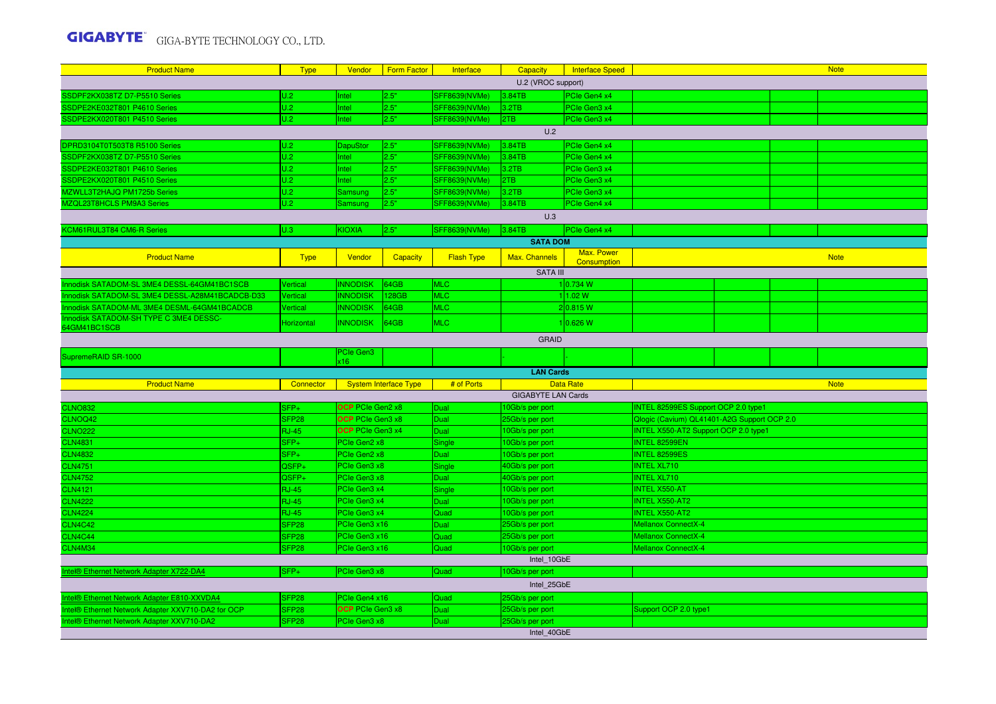| <b>Product Name</b>                               | <b>Type</b>       | Vendor                  | <b>Form Factor</b>           | Interface         | Capacity                  | <b>Interface Speed</b>           |                                             |  | <b>Note</b> |
|---------------------------------------------------|-------------------|-------------------------|------------------------------|-------------------|---------------------------|----------------------------------|---------------------------------------------|--|-------------|
|                                                   |                   |                         |                              |                   | U.2 (VROC support)        |                                  |                                             |  |             |
| SSDPF2KX038TZ D7-P5510 Series                     | U.2               | Intel                   | 2.5"                         | SFF8639(NVMe)     | 3.84TB                    | PCIe Gen4 x4                     |                                             |  |             |
| SSDPE2KE032T801 P4610 Series                      | U.2               | Intel                   | 2.5"                         | SFF8639(NVMe)     | 3.2TB                     | PCIe Gen3 x4                     |                                             |  |             |
| SSDPE2KX020T801 P4510 Series                      | U.2               | Intel                   | 2.5"                         | SFF8639(NVMe)     | 2TB                       | PCIe Gen3 x4                     |                                             |  |             |
|                                                   |                   |                         |                              |                   | U.2                       |                                  |                                             |  |             |
| DPRD3104T0T503T8 R5100 Series                     | U.2               | DapuStor                | 2.5"                         | SFF8639(NVMe)     | 3.84TB                    | PCIe Gen4 x4                     |                                             |  |             |
| SSDPF2KX038TZ D7-P5510 Series                     | U.2               | Intel                   | 2.5"                         | SFF8639(NVMe)     | 3.84TB                    | PCIe Gen4 x4                     |                                             |  |             |
| SSDPE2KE032T801 P4610 Series                      | U.2               | Intel                   | 2.5"                         | SFF8639(NVMe)     | 3.2TB                     | PCIe Gen3 x4                     |                                             |  |             |
| SSDPE2KX020T801 P4510 Series                      | U.2               | Intel                   | 2.5"                         | SFF8639(NVMe)     | 2TB                       | PCIe Gen3 x4                     |                                             |  |             |
| MZWLL3T2HAJQ PM1725b Series                       | U.2               | <b>Samsung</b>          | 2.5"                         | SFF8639(NVMe)     | 3.2TB                     | PCIe Gen3 x4                     |                                             |  |             |
| MZQL23T8HCLS PM9A3 Series                         | U.2               | Samsung                 | 2.5"                         | SFF8639(NVMe)     | 3.84TB                    | PCIe Gen4 x4                     |                                             |  |             |
|                                                   |                   |                         |                              |                   | U.3                       |                                  |                                             |  |             |
| KCM61RUL3T84 CM6-R Series                         | U.3               | <b>KIOXIA</b>           | 2.5"                         | SFF8639(NVMe)     | 3.84TB                    | PCle Gen4 x4                     |                                             |  |             |
|                                                   |                   |                         |                              |                   | <b>SATA DOM</b>           |                                  |                                             |  |             |
| <b>Product Name</b>                               | <b>Type</b>       | Vendor                  | Capacity                     | <b>Flash Type</b> | Max. Channels             | Max. Power<br><b>Consumption</b> |                                             |  | <b>Note</b> |
|                                                   |                   |                         |                              |                   | <b>SATA III</b>           |                                  |                                             |  |             |
| Innodisk SATADOM-SL 3ME4 DESSL-64GM41BC1SCB       | Vertical          | <b>INNODISK</b>         | 164GB                        | <b>MLC</b>        |                           | 1 0.734 W                        |                                             |  |             |
| Innodisk SATADOM-SL 3ME4 DESSL-A28M41BCADCB-D33   | Vertical          | <b>INNODISK</b>         | 128GB                        | <b>MLC</b>        |                           | 1 1.02 W                         |                                             |  |             |
| Innodisk SATADOM-ML 3ME4 DESML-64GM41BCADCB       | Vertical          | <b>INNODISK</b>         | 64GB                         | <b>MLC</b>        |                           | 2 0.815 W                        |                                             |  |             |
| Innodisk SATADOM-SH TYPE C 3ME4 DESSC-            | Horizontal        | <b>INNODISK</b>         | 64GB                         | <b>MLC</b>        |                           | 110.626 W                        |                                             |  |             |
| 64GM41BC1SCB                                      |                   |                         |                              |                   |                           |                                  |                                             |  |             |
|                                                   |                   |                         |                              |                   | <b>GRAID</b>              |                                  |                                             |  |             |
| SupremeRAID SR-1000                               |                   | PCIe Gen3<br>x16        |                              |                   |                           |                                  |                                             |  |             |
|                                                   |                   |                         |                              |                   | <b>LAN Cards</b>          |                                  |                                             |  |             |
| <b>Product Name</b>                               | Connector         |                         | <b>System Interface Type</b> | # of Ports        |                           | <b>Data Rate</b>                 |                                             |  | <b>Note</b> |
|                                                   |                   |                         |                              |                   | <b>GIGABYTE LAN Cards</b> |                                  |                                             |  |             |
| <b>CLNO832</b>                                    | $SFP+$            | <b>OCP</b> PCIe Gen2 x8 |                              | Dual              | 10Gb/s per port           |                                  | INTEL 82599ES Support OCP 2.0 type1         |  |             |
| CLNOQ42                                           | SFP <sub>28</sub> | <b>OCP</b> PCIe Gen3 x8 |                              | Dual              | 25Gb/s per port           |                                  | Qlogic (Cavium) QL41401-A2G Support OCP 2.0 |  |             |
| <b>CLNO222</b>                                    | <b>RJ-45</b>      | <b>OCP</b> PCIe Gen3 x4 |                              | Dual              | 10Gb/s per port           |                                  | INTEL X550-AT2 Support OCP 2.0 type1        |  |             |
| <b>CLN4831</b>                                    | $SFP+$            | PCIe Gen2 x8            |                              | Single            | 10Gb/s per port           |                                  | INTEL 82599EN                               |  |             |
| <b>CLN4832</b>                                    | SFP+              | PCIe Gen2 x8            |                              | Dual              | 10Gb/s per port           |                                  | <b>INTEL 82599ES</b>                        |  |             |
| <b>CLN4751</b>                                    | QSFP+             | PCIe Gen3 x8            |                              | Single            | 40Gb/s per port           |                                  | <b>INTEL XL710</b>                          |  |             |
| <b>CLN4752</b>                                    | QSFP <sub>+</sub> | PCIe Gen3 x8            |                              | Dual              | 40Gb/s per port           |                                  | <b>INTEL XL710</b>                          |  |             |
| <b>CLN4121</b>                                    | <b>RJ-45</b>      | PCle Gen3 x4            |                              | Single            | 10Gb/s per port           |                                  | <b>INTEL X550-AT</b>                        |  |             |
| <b>CLN4222</b>                                    | <b>RJ-45</b>      | PCIe Gen3 x4            |                              | Dual              | 10Gb/s per port           |                                  | <b>INTEL X550-AT2</b>                       |  |             |
| <b>CLN4224</b>                                    | <b>RJ-45</b>      | PCIe Gen3 x4            |                              | Quad              | 10Gb/s per port           |                                  | <b>INTEL X550-AT2</b>                       |  |             |
| <b>CLN4C42</b>                                    | SFP <sub>28</sub> | PCIe Gen3 x16           |                              | Dual              | 25Gb/s per port           |                                  | Mellanox ConnectX-4                         |  |             |
| CLN4C44                                           | SFP <sub>28</sub> | PCle Gen3 x16           |                              | Quad              | 25Gb/s per port           |                                  | Mellanox ConnectX-4                         |  |             |
| CLN4M34                                           | SFP <sub>28</sub> | PCIe Gen3 x16           |                              | Quad              | 10Gb/s per port           |                                  | <b>Mellanox ConnectX-4</b>                  |  |             |
|                                                   |                   |                         |                              |                   | Intel 10GbE               |                                  |                                             |  |             |
| Intel® Ethernet Network Adapter X722-DA4          | SFP+              | PCIe Gen3 x8            |                              | Quad              | 10Gb/s per port           |                                  |                                             |  |             |
|                                                   |                   |                         |                              |                   | Intel 25GbE               |                                  |                                             |  |             |
| Intel® Ethernet Network Adapter E810-XXVDA4       | SFP <sub>28</sub> | PCIe Gen4 x16           |                              | Quad              | 25Gb/s per port           |                                  |                                             |  |             |
|                                                   |                   |                         |                              |                   |                           |                                  |                                             |  |             |
| ntel® Ethernet Network Adapter XXV710-DA2 for OCP | SFP <sub>28</sub> | OCP PCIe Gen3 x8        |                              | Dual              | 25Gb/s per port           |                                  | Support OCP 2.0 type1                       |  |             |
| Intel® Ethernet Network Adapter XXV710-DA2        | SFP <sub>28</sub> | PCIe Gen3 x8            |                              | Dual              | 25Gb/s per port           |                                  |                                             |  |             |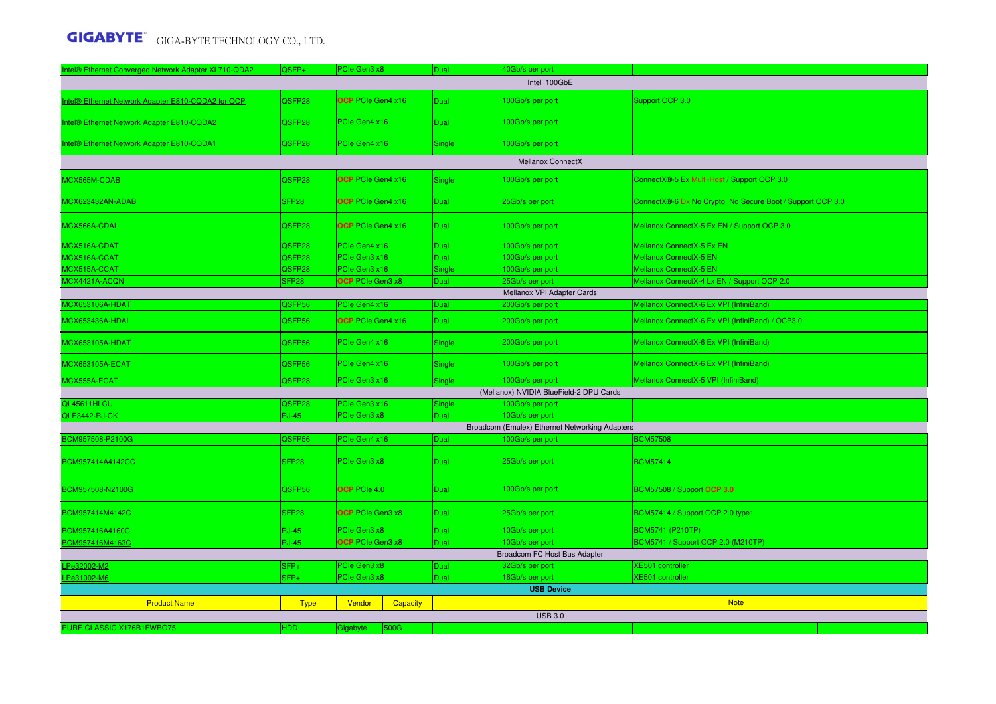| Intel® Ethernet Converged Network Adapter XL710-QDA2 | QSFP+             | PCIe Gen3 x8             |          | Dual        | 40Gb/s per port                         |                                                |                                                            |                                         |  |  |
|------------------------------------------------------|-------------------|--------------------------|----------|-------------|-----------------------------------------|------------------------------------------------|------------------------------------------------------------|-----------------------------------------|--|--|
|                                                      |                   |                          |          |             | Intel 100GbE                            |                                                |                                                            |                                         |  |  |
| ntel® Ethernet Network Adapter E810-CQDA2 for OCP    | QSFP28            | OCP PCIe Gen4 x16        |          | <b>Dual</b> | 100Gb/s per port                        |                                                | Support OCP 3.0                                            |                                         |  |  |
| Intel® Ethernet Network Adapter E810-CQDA2           | QSFP28            | PCIe Gen4 x16            |          | <b>Dual</b> | 100Gb/s per port                        |                                                |                                                            |                                         |  |  |
| Intel® Ethernet Network Adapter E810-CQDA1           | QSFP28            | PCIe Gen4 x16            |          | Single      | 100Gb/s per port                        |                                                |                                                            |                                         |  |  |
|                                                      |                   |                          |          |             | <b>Mellanox ConnectX</b>                |                                                |                                                            |                                         |  |  |
| MCX565M-CDAB                                         | QSFP28            | <b>OCP</b> PCIe Gen4 x16 |          | Single      | 100Gb/s per port                        |                                                | ConnectX®-5 Ex Multi-Host / Support OCP 3.0                |                                         |  |  |
| MCX623432AN-ADAB                                     | SFP28             | OCP PCIe Gen4 x16        |          | <b>Dual</b> | 25Gb/s per port                         |                                                | ConnectX®-6 Dx No Crypto, No Secure Boot / Support OCP 3.0 |                                         |  |  |
| MCX566A-CDAI                                         | QSFP28            | <b>OCP</b> PCIe Gen4 x16 |          | <b>Dual</b> | 100Gb/s per port                        |                                                | Mellanox ConnectX-5 Ex EN / Support OCP 3.0                |                                         |  |  |
| MCX516A-CDAT                                         | QSFP28            | PCIe Gen4 x16            |          | <b>Dual</b> | 100Gb/s per port                        |                                                | Mellanox ConnectX-5 Ex EN                                  |                                         |  |  |
| MCX516A-CCAT                                         | QSFP28            | PCIe Gen3 x16            |          | Dual        | 100Gb/s per port                        |                                                | Mellanox ConnectX-5 EN                                     |                                         |  |  |
| MCX515A-CCAT                                         | QSFP28            | PCIe Gen3 x16            |          | Single      | 100Gb/s per port                        |                                                | Mellanox ConnectX-5 EN                                     |                                         |  |  |
| MCX4421A-ACQN                                        | SFP <sub>28</sub> | OCP PCIe Gen3 x8         |          | Dual        | 25Gb/s per port                         |                                                | Mellanox ConnectX-4 Lx EN / Support OCP 2.0                |                                         |  |  |
|                                                      |                   |                          |          |             | Mellanox VPI Adapter Cards              |                                                |                                                            |                                         |  |  |
| MCX653106A-HDAT                                      | QSFP56            | PCIe Gen4 x16            |          | Dual        | 200Gb/s per port                        |                                                | Mellanox ConnectX-6 Ex VPI (InfiniBand)                    |                                         |  |  |
| <b>MCX653436A-HDAI</b>                               | QSFP56            | <b>OCP</b> PCIe Gen4 x16 |          | <b>Dual</b> | 200Gb/s per port                        |                                                | Mellanox ConnectX-6 Ex VPI (InfiniBand) / OCP3.0           |                                         |  |  |
| <b>MCX653105A-HDAT</b>                               | QSFP56            | PCIe Gen4 x16            |          | Single      | 200Gb/s per port                        |                                                |                                                            | Mellanox ConnectX-6 Ex VPI (InfiniBand) |  |  |
| <b>MCX653105A-ECAT</b>                               | QSFP56            | PCIe Gen4 x16            |          | Single      | 100Gb/s per port                        |                                                | Mellanox ConnectX-6 Ex VPI (InfiniBand)                    |                                         |  |  |
| MCX555A-ECAT                                         | QSFP28            | PCIe Gen3 x16            |          | Single      | 100Gb/s per port                        |                                                | Mellanox ConnectX-5 VPI (InfiniBand)                       |                                         |  |  |
|                                                      |                   |                          |          |             | (Mellanox) NVIDIA BlueField-2 DPU Cards |                                                |                                                            |                                         |  |  |
| QL45611HLCU                                          | QSFP28            | PCIe Gen3 x16            |          | Single      | 100Gb/s per port                        |                                                |                                                            |                                         |  |  |
| QLE3442-RJ-CK                                        | <b>RJ-45</b>      | PCIe Gen3 x8             |          | <b>Dual</b> | 10Gb/s per port                         |                                                |                                                            |                                         |  |  |
|                                                      |                   |                          |          |             |                                         | Broadcom (Emulex) Ethernet Networking Adapters |                                                            |                                         |  |  |
| BCM957508-P2100G                                     | QSFP56            | PCIe Gen4 x16            |          | Dual        | 100Gb/s per port                        |                                                | <b>BCM57508</b>                                            |                                         |  |  |
| BCM957414A4142CC                                     | SFP <sub>28</sub> | PCIe Gen3 x8             |          | Dual        | 25Gb/s per port                         |                                                | <b>BCM57414</b>                                            |                                         |  |  |
| BCM957508-N2100G                                     | QSFP56            | <b>OCP</b> PCIe 4.0      |          | <b>Dual</b> | 100Gb/s per port                        |                                                | BCM57508 / Support OCP 3.0                                 |                                         |  |  |
| BCM957414M4142C                                      | SFP <sub>28</sub> | <b>OCP</b> PCIe Gen3 x8  |          | <b>Dual</b> | 25Gb/s per port                         |                                                | BCM57414 / Support OCP 2.0 type1                           |                                         |  |  |
| BCM957416A4160C                                      | <b>RJ-45</b>      | PCIe Gen3 x8             |          | Dual        | 10Gb/s per port                         |                                                | BCM5741 (P210TP)                                           |                                         |  |  |
| BCM957416M4163C                                      | <b>RJ-45</b>      | OCP PCIe Gen3 x8         |          | Dual        | 10Gb/s per port                         |                                                | BCM5741 / Support OCP 2.0 (M210TP)                         |                                         |  |  |
|                                                      |                   |                          |          |             | Broadcom FC Host Bus Adapter            |                                                |                                                            |                                         |  |  |
| Pe32002-M2                                           | SFP+              | PCIe Gen3 x8             |          | <b>Dual</b> | 32Gb/s per port                         |                                                | <b>XE501</b> controller                                    |                                         |  |  |
| Pe31002-M6                                           | $SFP+$            | PCIe Gen3 x8             |          | Dual        | 16Gb/s per port                         |                                                | <b>XE501 controller</b>                                    |                                         |  |  |
|                                                      |                   |                          |          |             | <b>USB Device</b>                       |                                                |                                                            |                                         |  |  |
| <b>Product Name</b>                                  | <b>Type</b>       | Vendor                   | Capacity |             |                                         |                                                |                                                            | <b>Note</b>                             |  |  |
|                                                      |                   |                          |          |             | <b>USB 3.0</b>                          |                                                |                                                            |                                         |  |  |
| PURE CLASSIC X176B1FWBO75                            | HDD.              | Gigabyte 500G            |          |             |                                         |                                                |                                                            |                                         |  |  |